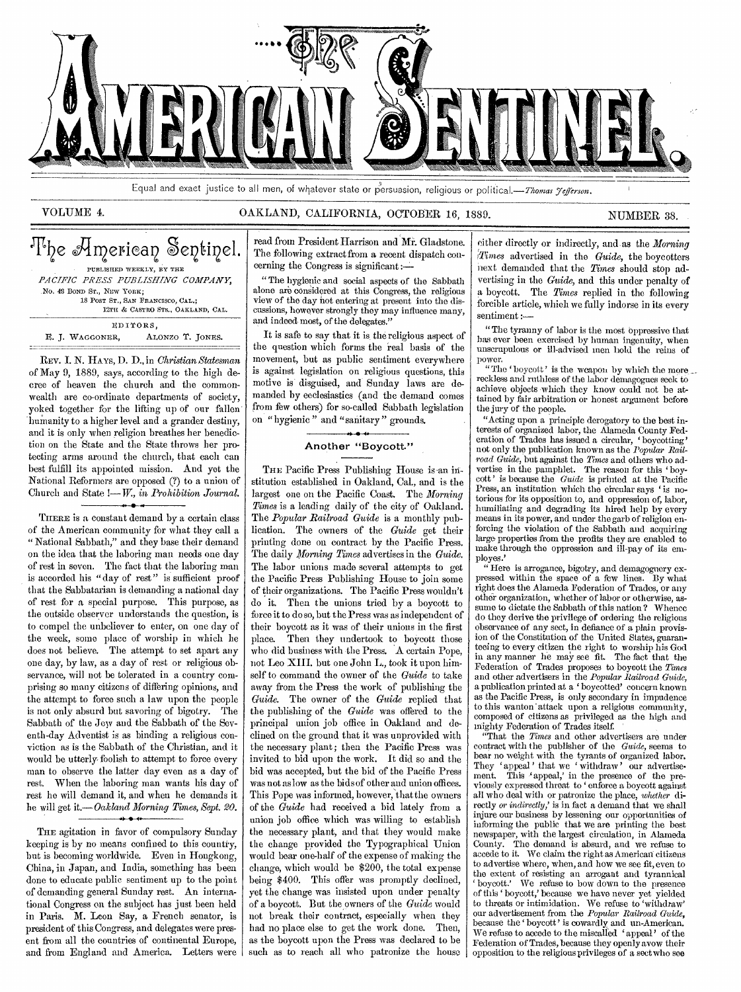

Equal and exact justice to all men, of whatever state or persuasion, religious or political.—Thomas *Jefferson*.

## VOLUME 4. CALLAND, CALIFORNIA, OCTOBER 16, 1889. NUMBER 38.

| 'l'he American Sentinel.            |  |
|-------------------------------------|--|
| PUBLISHED WEEKLY, BY THE            |  |
| PACIFIC PRESS PUBLISHING COMPANY,   |  |
| No. 48 BOND ST., NEW YORK:          |  |
| 18 POST ST., SAN FRANCISCO, CAL.:   |  |
| 12TH & CASTRO STS., OAKLAND, CAL.   |  |
| EDITORS.                            |  |
| ALONZO T. JONES.<br>E. J. WAGGONER, |  |

REV. I. N. HAYS, D. D., in *Christian Statesman*  of May 9, 1889, says, according to the high decree of heaven the church and the commonwealth are co-ordinate departments of society, yoked together for the lifting up of our fallen' humanity to a higher level and a grander destiny, and it is only when religion breathes her benediction on the State and the State throws her protecting arms around the church, that each can best fulfill its appointed mission. And yet the National Reformers are opposed (?) to a union of Church and State !—W., *in Prohibition Journal.* 

THERE is a constant demand by a certain class of the American community for what they call a " National Sabbath," and they base their demand on the idea that the laboring man needs one day of rest in seven. The fact that the laboring man is accorded his "day of rest" is sufficient proof that the Sabbatarian is demanding a national day of rest for a special purpose. This purpose, as the outside observer understands the question, is to compel the unbeliever to enter, on one day of the week, some place of worship in which he does not believe. The attempt to set apart any One day, by law, as a day of rest or religious observance, will not be tolerated in a country comprising so many citizens of differing opinions, and the attempt to force such a law upon the people is not only absurd but savoring of bigotry. The Sabbath of the Jew and the Sabbath of the Seventh-day Adventist is as binding a religious conviction as is the Sabbath of the Christian, and it would be utterly foolish to attempt to force every man to observe the latter day even as a day of rest. When the laboring man wants his day of rest he will demand it, and when he demands it he will get *it.—Oakland Morning Times, Sept. 20.* 

THE agitation in favor of compulsory Sunday keeping is by no means confined to this country, but is becoming worldwide. Even in Hongkong, China, in Japan, and India, something has been done to educate public sentiment up to the point of demanding general Sunday rest. An international Congress on the subject has just been held in Paris. M. Leon Say, a French senator, is president of this Congress, and delegates were present from all the countries of continental Europe, and from England and America. Letters were

read from President Harrison and Mr. Gladstone. The following extract from a recent dispatch concerning the Congress is significant :-

" The hygienic and social aspects of the Sabbath alone are considered at this Congress, the religious view of the day hot entering at present into the discussions, however strongly they may influence many, and indeed most, of the delegates."

It is safe to say that it is the religious aspect of the question which forms the real basis of the movement, but as public sentiment everywhere is against legislation on religious questions, this motive is disguised, and Sunday laws are demanded by ecclesiastics (and the demand comes from few others) for so-called Sabbath legislation on "hygienic" and "sanitary" grounds.

## • Another "Boycott."

THE Pacific Press Publishing House is an institution established in Oakland, Cal., and is the largest one on the Pacific Coast. The *Morning Times* is a leading daily of the city of Oakland. The *Popular Railroad Guide* is a monthly publication. The owners of the *Guide* get their printing done on contract by the Pacific Press. The daily *Morning Times* advertises in the *Guide*. The labor unions made several attempts to get the Pacific Press Publishing House to join some of their organizations. The Pacific Press wouldn't do it. Then the unions tried by a boycott to force it to do so, but the Press was as independent of their boycott as it was of their unions in the first place. Then they undertook to boycott those who did business with the Press. A certain Pope, not Leo XIII. but one John L., took it upon himself to command the owner of the *Guide* to take away from the Press the work of publishing the *Guide.* The owner of the *Guide* replied that the publishing of the *Guide* was offered to the principal union job office in Oakland and declined on the ground that it was unprovided with the necessary plant; then the Pacific Press was invited to bid upon the work. It did so and the bid was accepted, but the bid of the Pacific Press was not as low as the bids of other and union offices. This Pope was informed, however, that the owners of the *Guide* had received a bid lately from a union job office which was willing to establish the necessary plant, and that they would make the change provided the Typographical.Union would bear one-half of the expense of making the change, which would be \$200, the total expense being \$400. This offer was promptly declined, yet the change was insisted upon under penalty of a boycott. But the owners of the *Guide* would not break their contract, especially when they had no place else to get the work done. Then, as the boycott upon the Press was declared to be such as to reach all who patronize the house

either directly or indirectly, and as the *Morning :Times* advertised in the *Guide,* the boycotters next demanded that the *Times* should stop advertising in the *Guide,* and this under penalty of a boycott. The *Times* replied in the following forcible article, which we fully indorse in its every sentiment :—

"The tyranny of labor is the most Oppressive that has ever been exercised by human ingenuity, when unscrupulous or ill-advised men hold the reins of power,

"The 'boycott' is the weapon by which the more reckless and ruthless of the labor demagogues seek to achieve objects which they know could not be attained by fair arbitration or honest argument before the jury of the people.

"Acting upon a principle derogatory to the best interests of organized labor, the Alameda County Federation of Trades has issued a circular, ' boycotting' not only the publication known as the *Popular Railroad Guide,* but against the *Times* and others who advertise in the pamphlet. The reason for this ' boycott ' is because the *Guide* is printed at the Pacific Press, an institution which the circular says ' is notorious for its opposition to, and oppression of, labor, humiliating and degrading its hired help by every means in its power, and under the garb of religion enforcing the violation of the Sabbath and acquiring large properties from the profits they are enabled to make through the oppression and ill-pay of its employes.'

" Here is arrogance, bigotry, and demagoguery expressed within the space of a few lines. By what right does the Alameda Federation of Trades, or any other organization, whether of labor or otherwise, assume to dictate the Sabbath of this nation ? Whence do they derive the privilege of ordering the religious observance of any sect, in defiance of a plain provision of the Constitution of the United States, guaranteeing to every citizen the right to worship his God in any manner he may see fit. The fact that the Federation of Trades proposes to boycott the *Times*  and other advertisers in the *Popular Railroad Guide,*  a publication printed at a ' boycotted' concern known as the Pacific Press, is only secondary in impudence to this wanton 'attack upon a religious community, composed of citizens as privileged as the high and mighty Federation of Trades itself.

"That the *Times* and other advertisers are under contract with the publisher of the *Guide,* seems to bear no weight with the tyrants of organized labor. They 'appeal' that we 'withdraw' our advertisement. This 'appeal' in the presence of the pre-This 'appeal,' in the presence of the previously expressed threat to ' enforce a boycott against all who deal with or patronize the place, *whether* directly *or indirectly,'* is in fact a demand that we shall injure our business by lessening our opportunities of informing the public that we are printing the best newspaper, with the largest circulation, in Alameda County. The demand is absurd, and we refuse to accede to it. We claim the right as American citizens to advertise where, when, and how we see fit, even to the extent of resisting an arrogant and tyrannical ' boycott.' We refuse to bow down to the presence of this ' boycott,' because we have never yet yielded to threats or intimidation. We refuse to 'withdraw' our advertisement from the *Popular Railroad Guide,*  because the 'boycott' is cowardly and un-American. We refuse to accede to the miscalled 'appeal' of the Federation of Trades, because they openly avow their opposition to the religious privileges of a sect who see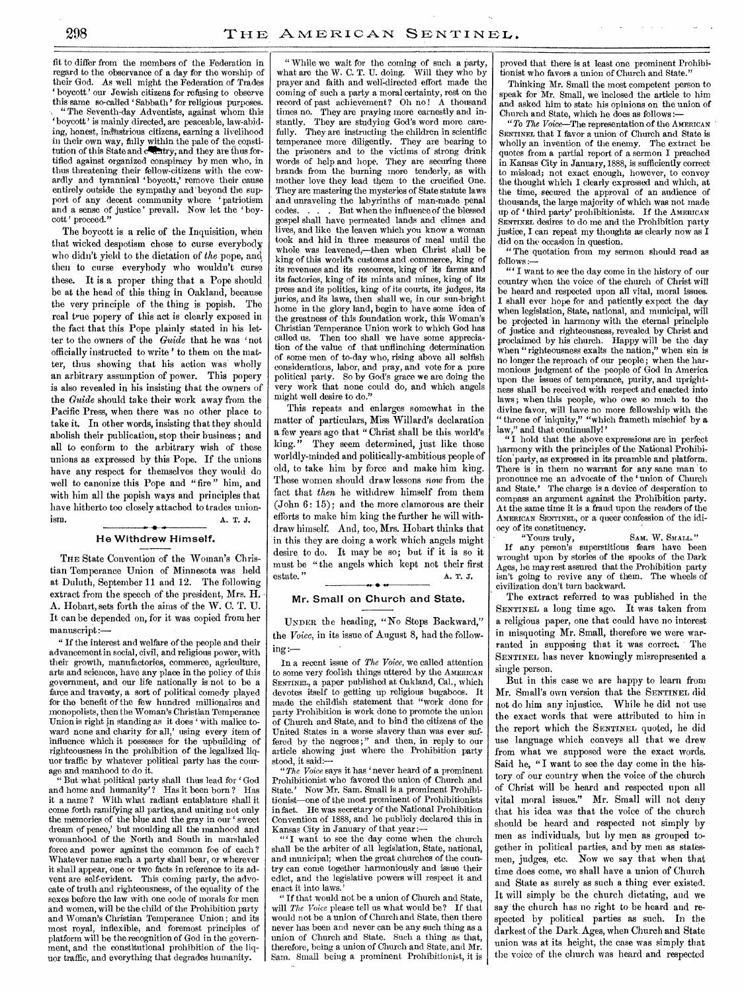fit to differ from the members of the Federation in regard to the observance of a day for the worship of their God. As well might the Federation of Trades boycott? our Jewish citizens for refusing to observe this same so-called ' Sabbath' for religious purposes.

" The Seventh-day Adventists, against whom this ' boycott ' is mainly directed, are peaceable, law-abiding, honest, industrious citizens, earning a livelihood in their own way, fully within the pale of the copstitution of this State and calktry; and they are thus fortified against organized conspiracy by men who, in thus threatening their fellow-citizens with the cowardly and tyrannical 'boycott,' remove their cause entirely outside the sympathy and' beyond the support of any decent community where 'patriotism and a sense of justice' prevail. Now let the 'boycott ' proceed."

The boycott is a relic of the Inquisition, when that wicked despotism chose to curse everybody who didn't yield to the dictation of *the* pope, and then to curse everybody who wouldn't curse these. It is a proper thing that a Pope should be at the head of this thing in Oakland, because the very principle of the thing is popish. The real true popery of this act is clearly exposed in the fact that this Pope plainly stated in his letter to the owners of the *Guide* that he was 'not officially instructed to write' to them on the matter, thus showing that his action was wholly an arbitrary assumption of power. This popery is also revealed in his insisting that the owners of the *Guide* should take their work away from the Pacific Press, when there was no other place to take it. In other words, insisting that they should abolish their publication, stop their business; and all to conform to the arbitrary wish of these unions as expressed by this Pope. If the unions have any respect for themselves they would do well to canonize this Pope and "fire" him, and with him all the popish ways and principles that have hitherto too closely attached to trades unionism. A. T. J.

### He Withdrew Himself.

THE State Convention of the Woman's Christian Temperance Union of Minnesota was held at Duluth, September 11 and 12. The following extract from the speech of the president, Mrs. H. A. Hobart, sets forth the aims of the W. C. T. U. It can be depended on, for it was copied from her manuscript:—

" If the interest and welfare of the people and their advancement in social, civil, and religious power, with their growth, manufactories, commerce, agriculture, arts and sciences, have any place in the policy of this government, and our life nationally is not to be a farce and travesty, a sort of political comedy played for the benefit of the few hundred millionaires and monopolists, then the Woman's Christian Temperance Union is right in standing as it does ' with malice toward none and charity for all,' using every item of influence which it possesses for the upbuilding of righteousness in the prohibition of the legalized liquor traffic by whatever political party has the courage and manhood to do it.

" But what political party shall thus lead for ' God and home and humanity'? Has it been born? Has it a name ? With what radiant entablature shall it come forth ramifying all parties, and uniting not only the memories of the blue and the gray in our 'sweet dream of peace,' but moulding all the manhood and womanhood of the North and South in marshaled force and power against the common foe of each ? Whatever name such a party shall bear, or wherever it shall appear, one or two facts in reference to its advent are self-evident. This coming party, the advocate of truth and righteousness, of the equality of the sexes before the law with one code of morals for men and women, will be the child of the Prohibition party and Woman's Christian Temperance Union ; and its most royal, inflexible, and foremost principles of platform will be the recognition of God in the government, and the constitutional prohibition of the liquor traffic, and everything that degrades humanity.

" While we wait for the coming of such a party, what are the W. C. T. U. doing. Will they who by what are the W. C. T. U. doing. Will they who by prayer and faith and well-directed effort made the coming of such a party a moral certainty, rest on the record of past achievement? Oh no! A thousand times no. They are praying more earnestly and instantly. They are studying God's word more carefully. They are instructing the children in scientific temperance more diligently. They are bearing to the prisoners and to the victims of strong drink words of help and hope. They are securing these brands from the burning more tenderly, as with mother love they lead them to the crucified One. They are mastering the mysteries of State statute laws and unraveling the labyrinths of man-made penal codes... But when the influence of the blessed But when the influence of the blessed gospel shall have permeated lands and climes and lives, and like the leaven which you know a woman took and hid in three measures of meal until the whole was leavened,—then when Christ shall be king of this world's customs and commerce, king of its revenues and its resources, king of its farms and its factories, king of its mints and mines, king of its press and its politics, king of its courts, its judges, its juries, and its laws, then shall we, in our sun-bright home in the glory land, begin to have some idea of the greatness of this foundation work, this Woman's Christian Temperance Union work to which God has called us. Then too shall we have some appreciation of the value of that unflinching determination of some men of to-day who, rising above all selfish considerations, labor, and pray, and vote for a pure political party. So by God's grace we are doing the very work that none could do, and which angels might well desire to do."

This repeats and enlarges somewhat in the matter of particulars, Miss Willard's declaration a few years ago that " Christ shall be this world's king." They seem determined, just like those worldly-minded and politically-ambitious people of old, to take him by force and make him king. These women should draw lessons *now* from the fact that *then* he withdrew himself from them (John 6: 15); and the more clamorous are their efforts to make him king the further he will withdraw himself. And, too, Mrs. Hobart thinks that in this they are doing a work which angels might desire, to do. It may be so; but if it is so it must be "the angels which kept not their first estate."  $A, T, J$ •

#### Mr. Small on Church and State.

UNDER the heading, "No Steps Backward," the *Voice,* in its issue of August 8, had the following:—

In a recent issue of *The Voice,* we called attention to some very foolish things uttered by the AMERICAN SENTINEL, a paper published at Oakland, Cal., which devotes itself to getting up religious bugaboos. It made the childish statement that "work done for party Prohibition is work done to promote the union of Church and State, and to bind the citizens of the United States in a worse slavery than was ever suffered by the negroes;" and then, in reply to our article showing just where the Prohibition party stood, it said:—

" $The\ \tV{oice}$  says it has 'never heard of a prominent Prohibitionist who favored the union of Church and State.' Now Mr. Sam. Small is a prominent Prohibitionist—one of the most prominent of Prohibitionists in fact. He was secretary of the National Prohibition Convention of 1888, and he publicly declared this in Kansas City in January of that year :—

"'I want to see the day come when the church shall be the arbiter of all legislation, State, national, and municipal; when the great churches of the country can come together harmoniously and issue their edict, and the legislative powers will respect it and enact it into laws.'

" If that would not be a union of Church and State, will *The Voice* please tell us what would be? If that would not be a union of Church and State, then there never has been and never can be any such thing as a union of Church and State. Such a thing as that, therefore, being a union of Church and State, and Mr. Sam. Small being a prominent Prohibitionist, it is proved that there is at least one prominent Prohibiionist who favors a union of Church and State.

Thinking Mr. Small the most competent person to speak for Mr. Small, we inclosed the article to him and asked him to state his opinions on the union of Church and State, which he does as follows :—

*"To The Voice—The* representation of the AMERICAN SENTINEL that I favor a union of Church and State is wholly an invention of the enemy. The extract he quotes from a partial report of a sermon I preached in Kansas City in January, 1888, is sufficiently correct. to mislead; not exact enough, however, to convey the thought which I clearly expressed and which, at the time, secured the approval of an audience of thousands, the large majority of which was not made up of `third party' prohibitionists. If the AMERICAN SENTINEL desires to do me and the Prohibition party justice, I can repeat my thoughts as clearly now as I did on the occasion in question.

" The quotation from my sermon should read as follows:

" I want to see the day come in the history of our country when the voice of the church of Christ will be heard and respected upon all vital, moral issues. I shall ever hope for and patiently expect the day when legislation, State, national, and municipal, will be projected in harmony with the eternal principle of justice and righteousness, revealed by Christ and proclaimed by his church. Happy will be the day when "righteousness exalts the nation," when sin is no longer the reproach of our people ; when the harmonious judgment of the people of God in America upon the issues of temperance, purity, and uprightness shall be received with respect and enacted into laws ; when this people, who owe so much to the divine favor, will have no more fellowship with the " throne of iniquity," "which frameth mischief by a law," and that continually!'

" I hold that the above expressions are in perfect harmony with the principles of the National Prohibition party, as expressed in its preamble and platform. There is in them no warrant for any sane man to pronounce me an advocate of the 'union of Church and State.' The charge is a device of desperation to compass an argument against the Prohibition party. At the same time it is a fraud upon the readers of the AMERICAN SENTINEL, or a queer confession of the idi-

ocy of its constituency. SAM. W. SMALL." If any person's superstitious fears have been wrought upon by stories of the spooks of the Dark Ages, he may rest assured that the Prohibition party isn't going to revive any of them. The wheels of civilization don't turn backward.

The extract referred to was published in the SENTINEL a long time ago. It was taken from a religious paper, one that could have no interest in misquoting Mr. Small, therefore we were warranted in supposing that it was correct. ' The SENTINEL has never knowingly misrepresented a single person.

But in this case we are happy to learn from Mr. Small's own version that the SENTINEL did not do him any injustice. While he did not use the exact words that were attributed to him in the report which the SENTINEL quoted, he did use language which conveys all that we drew from what we supposed were the exact words. Said he, "I want to see the day come in the history of our country when the voice of the church of Christ will be heard and respected upon all vital moral issues." Mr. Small will not deny that his idea was that the voice of the church should be heard and respected not simply by men as individuals, but by men as grouped together in political parties, and by men as statesmen, judges, etc. Now we say that when that time does come, we shall have a union of Church and State as surely as such a thing ever existed. It will simply be the church dictating, and we say the church has no right to be heard and respected by political parties as such. In the darkest of the Dark. Ages, when Church and State union was at its height, the case was simply that the voice of the church was heard and respected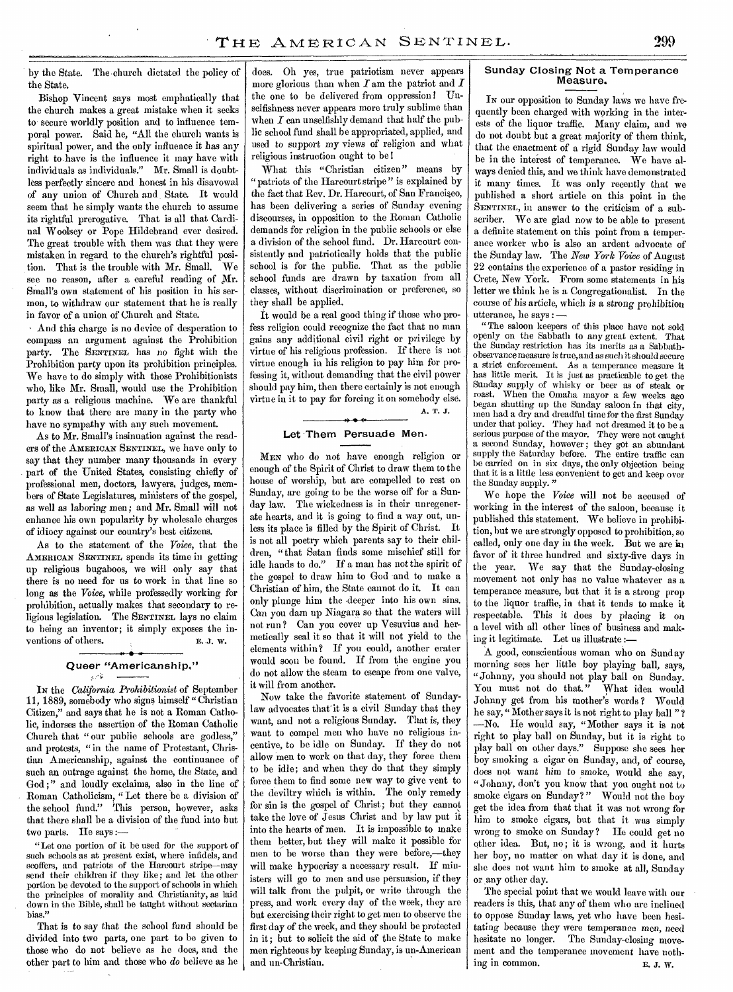by the State. The-church dictated the policy of the State.

Bishop Vincent says most emphatically that the church makes a great mistake when it seeks to secure worldly position and to influence temporal power. Said he, "All the church wants is spiritual power, and the only influence it has any right to have is the influence it may have with individuals as individuals." Mr. Small is doubtless perfectly sincere and honest in his disavowal of any union of Church and State. It would seem that he simply wants the church to assume its rightful prerogative. That is all that Cardinal Woolsey or Pope Hildebrand ever desired. The great trouble with them was that they were mistaken in regard to the church's rightful position. That is the trouble with Mr. Small. We see no reason, after a careful reading of Mr. Small's own statement of his position in his sermon, to withdraw our statement that he is really in favor of a union of Church and State.

• And this charge is no device of desperation to compass an argument against the Prohibition party. The SENTINEL has no fight with the Prohibition party upon its prohibition principles. We have to do simply with those Prohibitionists who, like Mr. Small, would use the Prohibition party as a religious machine. We are thankful to know that there are many in the party who have no sympathy with any such movement.

As to Mr. Small's insinuation against the readers of the AMERICAN SENTINEL, we have only to say that they number many thousands in every part of the United States, consisting chiefly of professional men, doctors, lawyers, judges, members of State Legislatures, ministers of the gospel, as well as laboring men; and Mr. Small will not enhance his own popularity by wholesale charges of idiocy against our country's best citizens.

As to the statement of the *Voice,* that the AMERICAN SENTINEL spends its time in getting up religious bugaboos, we will only say that there is no need for us to work in that line so long as the *Voice,* while professedly working for prohibition, actually makes that secondary to religious legislation. The SENTINEL lays no claim to being an inventor; it simply exposes the inventions of others. E.J. W.

## Queer "Americanship."

IN the *California Prohibitionist* of September 11, 1889, somebody who signs himself "Christian Citizen," and says that he is not a Roman Catholic, indorses the assertion of the Roman Catholic Church that " our public schools are godless," and protests, "in the name of Protestant, Christian Americanship, against the continuance of such an outrage against the home, the State, and God;" and loudly exclaims, also in the line of Roman Catholicism, " Let there be a division of the school fund." This person, however, asks that there shall be a division of the fund into but two parts. He says :-

"Let one portion of it be used for the support of such schools as at present exist, where infidels, and scoffers, and patriots of the Harcourt stripe—may send their children if they like; and let the other portion be devoted to the support of schools in which the principles of morality and Christianity, as laid down in the Bible, shall be taught without sectarian bias."

That is to say that the school fund should be divided into two parts, one part to be given to those who do not believe as he does, and the other part to him and those who *do* believe as he does. Oh yes, true patriotism never appears more glorious than when  $I$  am the patriot and  $I$ the one to be delivered from oppression ! Unselfishness never appears more truly sublime than when  $I$  can unselfishly demand that half the public school fund shall be appropriated, applied, and used to support my *views* of religion and what religious instruction ought to be !

What this "Christian citizen" means by " patriots of the Harcourt stripe " is explained by the fact that Rev. Dr. Harcourt, of San Francisco, has been delivering a series of Sunday evening discourses, in opposition to the Roman Catholic demands for religion in the public schools or else a division of the school fund. Dr. Harcourt consistently and patriotically holds that the public school is for the public. That as the public school funds are drawn by taxation from all classes, without discrimination or preference, so they shall be applied.

It would be a real good thing if those who profess religion could recognize the fact that no man gains any additional civil right or privilege by virtue of his religious profession. If there is not virtue enough in his religion to pay him for professing it, without demanding that the civil power should pay him, then there certainly is not enough virtue in it to pay for forcing it on somebody else. **" • (•** 

A. **T. J.** 

#### Let Them Persuade Men.

MEN who do not have enough religion or enough of the Spirit of Christ to draw them to the house of worship, but are compelled to rest on Sunday, are going to be the worse off for a Sunday law. The wickedness is in their unregenerate hearts, and it is going to find a way out, unless its place is filled by the Spirit of Christ. It is not all poetry which parents say to their children, "that Satan finds some mischief still for idle hands to do." If a man has not the spirit of the gospel to draw him to God and to make a Christian of him, the State cannot do it. It can only plunge him the deeper into his own sins. Can you dam up Niagara so that the waters will not run ? Can you cover up Vesuvius and hermetically seal it so that it will not yield to the elements within? If you could, another crater would soon be found. If from the engine you do not allow the steam to escape from one valve, it will from another.

Now take the favorite statement of Sundaylaw advocates that'it is a civil Sunday that they want, and not a religious Sunday. That is, they want to compel men who have no religious incentive, to be idle on Sunday. If they do not allow men to work on that day, they force them to be idle; and when they do that they simply force them to find some new way to give vent to the deviltry which is within. The only remedy for sin is the gospel of Christ; but they cannot take the love of Jesus Christ and by law put it into the hearts of men. It is impossible to make them better, but they will make it possible for men to be worse than they were before,—they will make hypocrisy a necessary result. If ministers will go to men and use persuasion, if they will talk from the pulpit, or write through the press, and work every day of the week, they are but exercising their right to get men to observe the first day of the week, and they should be protected in it; but to solicit the aid of the State to make men righteous by keeping Sunday, is un-American and un-Christian.

#### Sunday Closing Not a Temperance Measure.

In our opposition to Sunday laws we have frequently been charged with working in the interests of the liquor traffic. Many claim, and we do not doubt but a great majority of them think, that the enactment of a rigid Sunday law would be in the interest of temperance. We have always denied this, and we think have demonstrated it many times. It was only recently that we published a short article on this point in the SENTINEL, in answer to the criticism of a subscriber. We are glad now to be able to present a definite statement on this point from a temperance worker who is also an ardent advocate of the Sunday law. The *New York Voice* of August 22 contains the experience of a pastor residing in Crete, New York. From some statements in his letter we think he is a Congregationalist. In the course of his article, which is a strong prohibition utterance, he says : —

" The saloon keepers of this place have not sold openly on the Sabbath to any great extent. That the Sunday restriction has its merits as a Sabbathobservance measure is true, and as such it should secure a strict enforcement. As a temperance measure it has little merit. It is just as practicable to get the Sunday supply of whisky or beer as of steak or roast. When the Omaha mayor a few weeks ago began shutting up the Sunday saloon in that city, men had a dry and dreadful time for the first Sunday under that policy. They had not dreamed it to be a serious purpose of the mayor. They were not caught a second Sunday, however; they got an abundant supply the Saturday before. The entire traffic can be carried on in six days, the only objection being that it is a little less convenient to get and keep over the Sunday supply.

We hope the *Voice* will not be accused of working in the interest of the saloon, because it published this statement. We believe in prohibition, but we are strongly opposed to prohibition, so called, only one day in the week. But we are in favor of it three hundred and sixty-five days in the year. We say that the Sunday-closing movement not only has no value whatever as a temperance measure, but that it is a strong prop to the liquor traffic, in that it tends to make it respectable. This it does by placing it on a level with all other lines of business and making it legitimate. Let us illustrate :—

A good, conscientious woman who on Sunday morning sees her little boy playing ball, says, "Johnny, you should not play ball on Sunday. You must not do that." What idea would Johnny get from his mother's words ? Would he say, " Mother says it is not right to play ball " ? —No. He would say, "Mother says it is not right to play ball on Sunday, but it is right to play ball on other days." Suppose she sees her boy smoking a cigar on Sunday, and, of course, does not want him to smoke, would she say, "Johnny, don't you know that you ought not to smoke cigars on Sunday?" Would not the boy get the idea from that that it was not wrong for him to smoke cigars, but that it was simply wrong to smoke on Sunday? He could get no other idea. But, no; it is wrong, and it hurts her boy, no matter on what day it is done, and she does not want him to smoke at all, Sunday or any other day.

The special point that we would leave with our readers is this, that any of them who are inclined to oppose Sunday laws, yet who have been hesitating because they were temperance *men,* need hesitate no longer. The Sunday-closing movement and the temperance movement have nothing in common. E. **J. W.**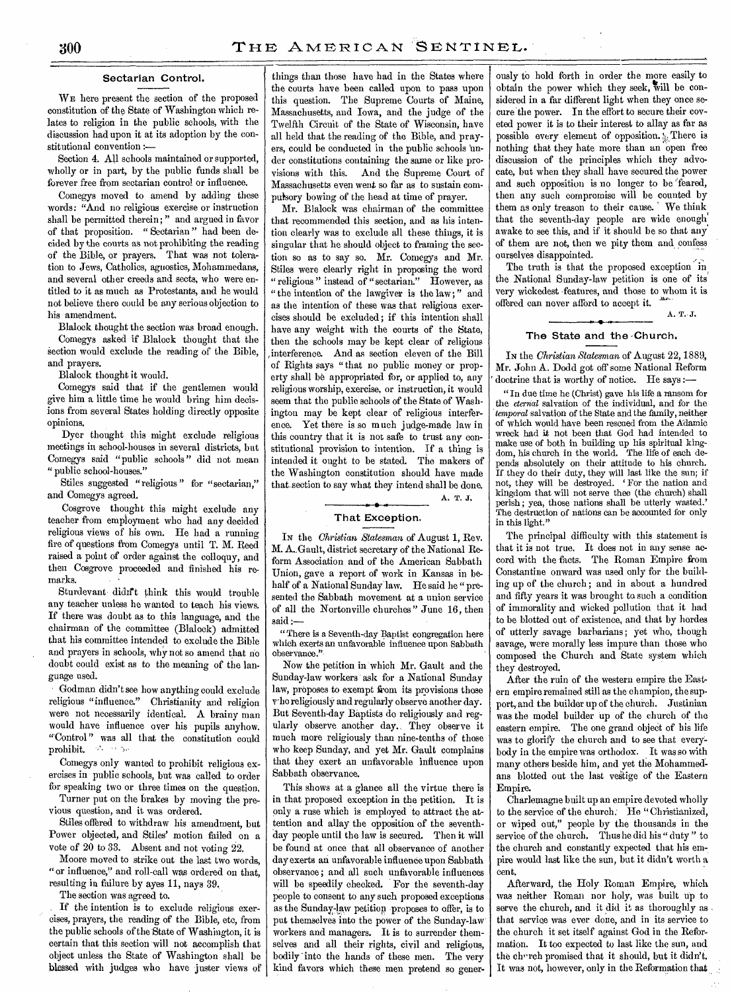#### Sectarian Control.

WE here present the section of the proposed constitution of the State of Washington which relates to religion in the public schools, with the discussion had upon it at its adoption by the constitutional convention :—

Section 4. All schools maintained or supported, wholly or in part, by the public funds shall be forever free from sectarian control or influence.

Comegys moved to amend by adding these words: "And no religious exercise or instruction shall be permitted therein; " and argued in favor of that proposition. " Sectarian " had been decided by the courts as not prohibiting the reading of the Bible, or prayers. That was not toleration to Jews, Catholics, agnostics, Mohammedans, and several other creeds and sects, who were entitled to it as much as Protestants, and he would not believe there could be any serious objection to his amendment.

Blalock thought the section was broad enough. Comegys asked if Blalock thought that the section would exclude the reading of the Bible, and prayers.

Blalock thought it would.

Comegys said that if the gentlemen would give him a little time he would bring him decisions from several States holding directly opposite opinions.

Dyer thought this might exclude religious meetings in school-houses in several districts, but Comegys said "public schools" did not mean " public school-houses."

Stiles suggested "religious " for "sectarian," and Comegys agreed.

Cosgrove thought this might exclude any teacher from employment who had any decided religious views of his own. He had a running fire of questions from Comegys until T. M. Reed raised a point of order against the colloquy, and then Cosgrove proceeded and finished his remarks.

Sturdevant didn't think this would trouble any teacher unless he wanted to teach his views. If there was doubt as to this language, and the chairman of the committee (Blalock) admitted that his committee intended to exclude the Bible and prayers in schools, why not so amend that no doubt could exist as to the meaning of the language used.

Godman didn't see how anything could exclude religious "influence." Christianity and religion were not necessarily identical. A brainy man would have influence over his pupils anyhow. "Control" was all that the constitution could prohibit.

Comegys only wanted to prohibit religious exercises in public schools, but was called to order for speaking two or three times on the question.

Turner put on the brakes by moving the previous question, and it was ordered.

Stiles offered to withdraw his amendment, but Power objected, and Stiles' motion failed on a vote of 20 to 33. Absent and not voting 22.

Moore moved to strike out the last two words, "or influence," and roll-call was ordered on that, resulting in failure by ayes 11, nays 39..

The section was agreed to.

If the intention is to exclude religious exercises, prayers, the reading of the Bible, etc, from the public schools of the State of Washington, it is certain that this section will not accomplish that object unless the State of Washington shall be blessed with judges who have juster views of

things than those have had in the States where the courts have been called upon to pass upon this question. The Supreme Courts of Maine, Massachusetts, and Iowa, and the judge of the Twelfth Circuit of the State of Wisconsin, have all held that the reading of the Bible, and prayers, could be conducted in the public schools under constitutions containing the same or like provisions with this. And the Supreme Court of Massachusetts even went so far as to sustain compulsory bowing of the head at time of prayer.

Mr. Blalock was chairman of the committee that recommended this section, and as his intention clearly was to exclude all these things, it is singular that he should object to framing the section so as to say so. Mr. Comegys and Mr. Stiles were clearly right in proposing the word " religious" instead of "sectarian." However, as " the intention of the lawgiver is the law; " and as the intention of these was that religious exercises should be excluded; if this intention shall have any weight with the courts of the State, then the schools may be kept clear of religious interference. And as section eleven of the Bill of Rights says "that no public money or property shall be appropriated for, or applied to, any religious worship, exercise, or instruction, it would seem that the public schools of the State of Washington may be kept clear of religious interference. Yet there is so much judge-made law in this country that it is not safe to trust any constitutional provision to intention. If a thing is intended it ought to be stated. The makers of the Washington constitution should have made that section to say what they intend shall be done.

#### That Exception.

A. T. J.

IN the *Christian Statesman* of August 1, Rev. M. A..Gault, district secretary of the National Reform Association and of the American Sabbath Union, gave a report of work in Kansas in behalf of a National Sunday law. He said he "presented the Sabbath movement at a union service of all the Nortonville churches" June 16, then said:-

"There is a Seventh-day Baptist congregation here which exerts an unfavorable influence upon Sabbath observance."

Now the petition in which Mr. Gault and the Sunday-law workers ask for a National Sunday law, proposes to exempt from its provisions those rho religiously and regularly observe another day. But Seventh-day Baptists do religiously and regularly observe another day. They observe it much more religiously than nine-tenths of those who keep Sunday, and yet Mr. Gault complains that they exert an unfavorable influence upon Sabbath observance.

This shows at a glance all the virtue there is in that proposed exception in the petition. It is only a ruse which is employed to attract the attention and allay the opposition of the seventhday people until the law is secured. Then it will be found at once that all observance of another day exerts an unfavorable influence upon Sabbath observance; and all such unfavorable influences will be speedily checked. For the seventh-day people to consent to any such proposed exceptions as the Sunday-law petition proposes to offer, is to put themselves into the power of the Sunday-law workers and managers. It is to surrender themselves and all their rights, civil and religious, bodily into the hands of these men. The very kind favors which these men pretend so gener-

ously to hold forth in order the more easily to obtain the power which they seek, will be considered in a far different light when they once secure the power. In the effort to secure their coveted power it is to their interest to allay as far as possible every element of opposition.  $\mathcal{L}$ . There is nothing that they hate more than an 'open free discussion of the principles which they advocate, but when they shall have secured the power and such opposition is no longer to be 'feared, then any such compromise will be counted by them as only treason to their cause. We think that the seventh-day people are wide enough, awake to see this, and if it should be so that any of them are not, then we pity them and confess ourselves disappointed.

The truth is that the proposed exception in the National Sunday-law petition is one of its very wickedest -features, and those to whom it is offered can never afford to accept it. A. T..J.

#### The State and the Church.

IN the *Christian Statesman* of August 22, 1889, Mr. John A. Dodd got off some National Reform doctrine that is worthy of notice. He says :-

" In due time he (Christ) gave his life a ransom for the *eternal* salvation of the individual, and for the *temporal* salvation of the State and the family, neither of which would have been rescued from the Adamie wreck had it not been that God had intended to make use of both in building up his spiritual kingdom, his church in the world. The life of each depends absolutely on their attitude to his church. If they do their duty, they will last like the sun; if not, they will be destroyed. ' For the nation and kingdom that will not serve thee (the church) shall perish; yea, those nations shall be utterly wasted.' The destruction of nations can be accounted for only in this light.'

The principal difficulty with this statement is that it is not true. It does not in any sense accord with the facts. The Roman Empire from Constantine onward was used only for the building up of the church; and in about a hundred and fifty years it was brought to such a condition of immorality and wicked pollution that it had to be blotted out of existence, and that by hordes of utterly savage barbarians; yet who, though savage, were morally less impure than those who composed the Church and State system which they destroyed.

After the ruin of the western empire the Eastern empire remained still as the champion, the support, and the builder up of the church. Justinian was the model builder up of the church of the eastern empire. The one grand object of his life was to glorify the church and to see that everybody in the empire was orthodox. It was so with many others beside him, and yet the Mohammedans blotted out the last vestige of the Eastern Empire.

Charlemagne built up an empire devoted wholly to the service of the church. He "Christianized, or wiped out," people by the thousands in the service of the church. Thus he did his " duty" to the church and constantly expected that his empire would last like the sun, but it didn't worth a cent.

Afterward, the Holy Roman Empire, which was neither Roman nor holy, was built up to serve the church, and it did it as thoroughly as , that service was ever done, and in its service to the church it set itself against God in the Reformation. It too expected to last like the sun, and the church promised that it should, but it didn't. It was not, however, only in the Reformation that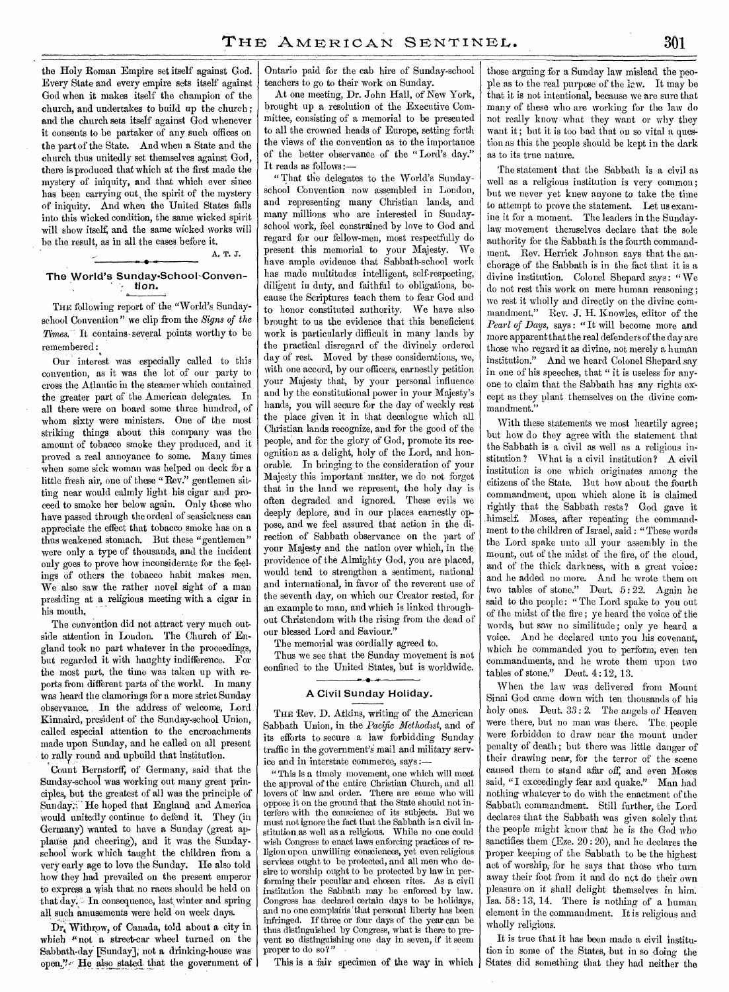the Holy Roman Empire set itself against God. Every State and every empire sets itself against God when it makes itself the champion of the church, and undertakes to build up the church; and the church sets itself against God whenever it consents to be partaker of any such offices on the part of the State. And when a State and the church thus unitedly set themselves against God, there is produced that which at the first made the mystery of iniquity, and that which ever since has been carrying out, the spirit of the mystery of iniquity. And when the United States falls into this wicked condition, the same wicked spirit will show itself, and the same wicked works will be the result, as in all the cases before it.

## A. T. J. The World's Sunday-School-Conven- ' • tion.

THE following report of the "World's Sundayschool Convention" we clip from the *Signs of the*  Times." It contains several points worthy to be remembered :

Our interest was especially called to this convention, as it was the lot of our party to cross the Atlantic in the steamer which contained the greater part of the American delegates. In all there were on board some three hundred, of whom sixty were ministers. One of the most striking things about this company was the amount of tobacco smoke they produced, and it proved a real annoyance to some. Many times when some sick woman was helped on deck for a little fresh air, one of these "Rev." gentlemen sitting near would calmly light his cigar and proceed to smoke her below again. Only those who have passed through the ordeal of seasickness can appreciate the effect that tobacco smoke has on a thus weakened stomach. But these "gentlemen" were only a type of thousands, and the incident only goes to prove how inconsiderate for the feelings of others the tobacco habit makes men. We also saw the rather novel sight of a man presiding at a religious meeting with a cigar in his mouth,

The convention did not attract very much outside attention in London. The Church of England took no part whatever in the proceedings, but regarded it with haughty indifference. For the most part, the time was taken up with reports from different parts of the world. In many was heard the clamorings for a more strict Sunday observance. In the address of welcome, Lord Kinnaird, president of the Sunday-school Union, called especial attention to the encroachments made upon Sunday, and he called on all present to rally round and upbuild that institution.

Count Bernstorff, of Germany, said that the Sunday-school was working out many great principles, but the greatest of all was the principle of Sunday:" He hoped that England and America would unitedly continue to defend it. They (in Germany) wanted to have *a* Sunday (great applause and cheering), and it was the Sundayschool work which taught the children from a very early age to love the Sunday. He also told how they had prevailed on the present emperor to express a wish that no races should be held on that day. In consequence, last winter and spring all such amusements were held on week days.

'Dr,. Withrow, of Canada, told about a city in which "not *a* street-ear wheel turned on the Sabbath-day.[Sunday]; not *a* drinking-house was open." He also stated that the government of

Ontario paid for the cab hire of Sunday-school teachers to go to their work on Sunday.

At one meeting, Dr. John Hall, of New York, brought up a resolution of the Executive Committee, consisting of a memorial to be presented to all the crowned heads of Europe, setting forth the views of the convention as to the importance of the better observance of the "Lord's day." It reads as follows :-

" That the delegates to the World's Sundayschool Convention now assembled in London, and representing many Christian lands, and many millions who are interested in Sundayschool work, feel constrained by love to God and regard for our fellow-men, most respectfully do present this memorial to your Majesty. We have ample evidence that Sabbath-school work has made multitudes intelligent, self-respecting, diligent in duty, and faithful to obligations, because the Scriptures teach them to fear God and to honor constituted authority. We have also brought to us the evidence that this beneficient work is particularly difficult in many lands by the practical disregard of the divinely ordered day of rest. Moved by these considerations, we, with one accord, by our officers, earnestly petition your Majesty that, by your personal influence and by the constitutional power in your Majesty's hands, you will secure for the day of weekly rest the place given it in that decalogue which all Christian lands recognize, and for the good of the people, and for the glory of God, promote its recognition as a delight, holy of the Lord, and honorable. In bringing to the consideration of your Majesty this important matter, we do not forget that in the land we represent, the holy day is often degraded and ignored. These evils we deeply deplore, and in our places earnestly oppose, and we feel assured that action in the direction of Sabbath observance on the part of your Majesty and the nation over which, in the providence of the Almighty God, you are placed, would tend to strengthen a sentiment, national and international, in favor of the reverent use of the seventh day, on which our Creator rested, for an example to man, and which is linked throughout Christendom with the rising from the dead of our blessed Lord and Saviour.'

The memorial was cordially agreed to.

Thus we see that the Sunday movement is not confined to the United States, but is worldwide.

#### A Civil Sunday Holiday.

THE Rev. D. Atkins, writing of the American Sabbath Union, in the *Pacific Methodist,* and of its efforts to secure a law forbidding Sunday traffic in the government's mail and military service and in interstate commerce, says :—

" This is a timely movement, one which will meet the approval of the entire Christian Church, and all lovers of law and order. There are some who will oppose it on the ground that the State should not interfere with the conscience of its subjects. But we must not ignore the fact that the Sabbath is a civil institution as well as a religious. While no one could wish Congress to enact laws enforcing practices of religion upon unwilling consciences, yet even religious services ought to be protected, and all men who desire to worship ought to be protected by law in performing their peculiar and chosen rites. As a civil institution the Sabbath may be enforced by law. Congress has declared certain days to be holidays, and no one complains that personal liberty has been infringed. If three or four days of the year can be thus distinguished by Congress, what is there to prevent so distinguishing one day in seven, if it seem proper to do so?"

This is a fair specimen of the way in which

those arguing for a Sunday law mislead the people as to the real purpose of the law. It may be that it is not intentional, because we are sure that many of these who are working for the law do not really know what they want or why they want it ; but it is too bad that on so vital a question as this the people should be kept in the dark as to its true nature.

The statement that the Sabbath is a civil as well as a religious institution is very common; but we never yet knew anyone to take the time to attempt to prove the statement. Let us examine it for a moment. The leaders in the Sundaylaw movement themselves declare that the sole authority for the Sabbath is the fourth commandment. Rev. Herrick Johnson says that the anchorage of the Sabbath is in the fact that it is a divine institution. Colonel Shepard says: "We do not rest this work on mere human reasoning; we rest it wholly and directly on the divine commandment." Rev. J. H. Knowles, editor of the *Pearl of Days,* says : "It will become more and more apparent that the real defenders of the day are those who regard it as divine, not merely a human institution." And we heard Colonel Shepard say in one of his speeches, that " it is useless for anyone to claim that the Sabbath has any rights except as they plant themselves on the divine commandment."

With these statements we most heartily agree; but how do they agree with the statement that the Sabbath is a civil as well as a religious institution? What is a civil institution? A civil institution is one which originates among the citizens of the State. But how about the fourth commandment, upon which alone it is claimed rightly that the Sabbath rests? God gave it .himself. Moses, after repeating the commandment to the children of Israel, said : "These words the Lord spake unto all your assembly in the mount, out of the midst of the fire, of the cloud, and of the thick darkness, with a great voice: and he added no more. And he wrote them on two tables of stone." Deut. 5 : 22. Again he said to the people: "The Lord spake to you out of the midst of the fire ; ye heard the voice of the words, but saw no similitude; only ye heard a voice. And he declared unto you his' covenant, which he commanded you to perform, even ten commandments, and he wrote them upon two tables of stone." Deut. 4:12, 13.

When the law was delivered from Mount Sinai God came down with ten thousands of his holy ones. Deut.  $33:2$ . The angels of Heaven were there, but no man was there. The people were forbidden to draw near the mount under penalty of death ; but there was little danger of their drawing near, for the terror of the scene caused them to stand afar off, and even Moses said, "I exceedingly fear and quake." Man had nothing- whatever to do with the enactment of the Sabbath commandment. Still further, the Lord declares that the Sabbath was given solely that the people might know that he is the God who sanctifies them (Eze. 20 : 20), and he declares the proper keeping of the Sabbath to be the highest act of worship, for he says that those who turn away their foot from it and do nct do their own pleasure on it shall delight themselves in him: Isa. 58: 13, 14. There is nothing of a human element in the commandment. It is religious and wholly religious.

It is true that it has been made a civil institu tion in some of the States, but in so doing the States did something that they had neither the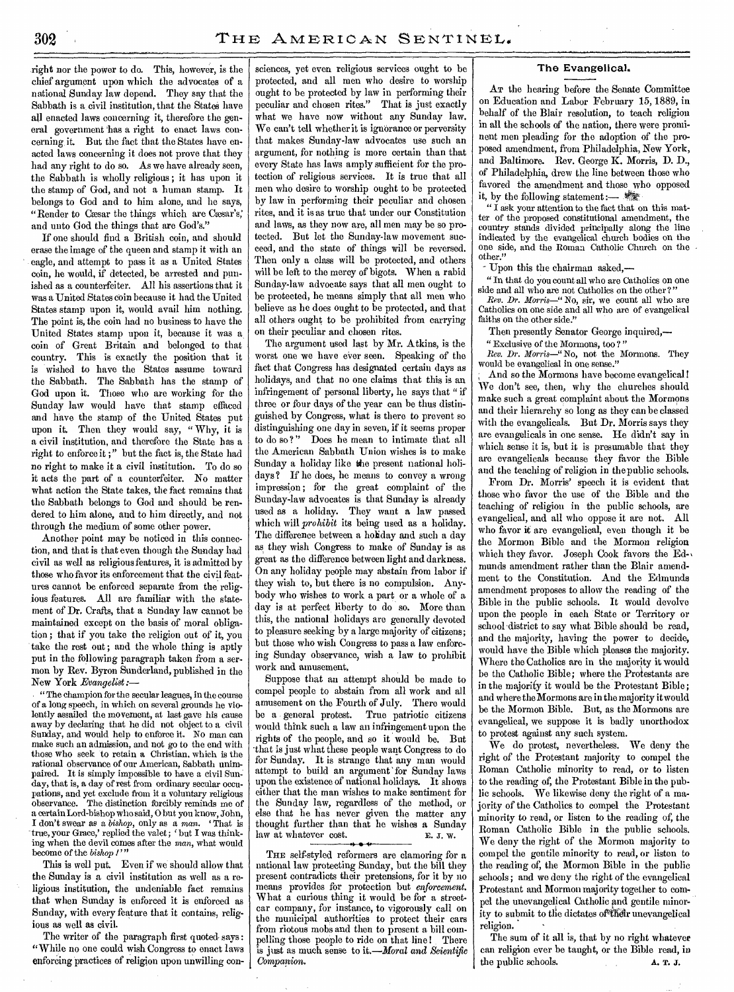right nor the power to do. This, however, is the chief argument upon which the advocates of a national Sunday law depend. They say that the Sabbath is a, civil institution, that the States have all enacted laws concerning it, therefore the general government has a right to enact laws concerning, it. But the fact that the States have enacted laws concerning it does not prove that they had any right to do so. As we have already seen, the Sabbath is wholly religious ; it has upon it the stamp of God, and not a human stamp. It belongs to God and to him alone, and he says, "Render to Cæsar the things which are Cæsar's," and unto God the things that are God's."

If one should find a British coin, and should erase the image of the queen and stamp it with an eagle, and attempt to pass it as a United States coin, he would, if detected, be arrested and punished as a counterfeiter. All his assertions that it was a United States coin because it had the United States stamp upon it, would avail him nothing. The point is, the coin had no business to have the United States stamp upon it, because it was a coin of Great Britain and belonged to that country. This is exactly the position that it is wished to have the States assume toward the Sabbath. The Sabbath has the stamp of God upon it. Those who are working for the Sunday law would have that stamp effaced and have the stamp of the United States put upon it. Then they would say, " Why, it is a civil institution, and therefore the State has a right to enforce it ;" but the fact is, the State had no right to make it a civil institution. To do so it acts the part of a counterfeiter. No matter what action the State takes, the fact remains that the Sabbath belongs to God and should be rendered to him alone, and to him directly, and not through the medium of some other power.

Another point may be noticed in this connection, and that is that even though the Sunday had civil as well as religious features, it is admitted by those who favor its enforcement that the civil features cannot be enforced separate from the religious features. All are familiar with the statement of Dr. Crafts, that a Sunday law cannot be maintained except on the basis of moral obligation ; that if you take the religion out of it, you take the rest out ; and the whole thing is aptly put in the following paragraph taken from a sermon by Rev. Byron Sunderland, published in the New York *Evangelist :—* 

*"*The champion for the secular leagues, in the course of a long speech, in which on several grounds he violently assailed the movement, at last gave his cause away by declaring that he did not object to a civil Sunday, and would help to enforce it. No man can make such an admission, and not go to the end with those who seek to retain a Christian, which is the rational observance of our American, Sabbath unimpaired. It is simply impossible to have a civil Sunday, that is, a day of rest from ordinary secular occupations, and yet exclude from it a voluntary religious observance. The distinction forcibly reminds me of a certain Lord-bishop who said, 0 but you know, John, I don't swear as a *bishop,* only as a man. ' That is true, your Grace,' replied the valet ; ' but I was thinking when the devil comes after the *man,* what would become of the *bishop 1"* 

This is well put. Even if we should allow that the Sunday is a civil institution as well as a religious institution, the undeniable fact remains that when Sunday is enforced it is enforced as Sunday, with every feature that it contains, religious as well as civil.

The writer of the paragraph first quoted says: "While no one could wish Congress to enact laws enforcing practices of religion upon unwilling consciences, yet even religious services ought to be protected, and all men who desire to worship ought to be protected by law in performing their peculiar and chosen rites." That is just exactly what we have now without any Sunday law. We can't tell whether it is ignorance or perversity that makes Sunday-law advocates use such an argument, for nothing is more certain than that every State has laws amply sufficient for the protection of religious services. It is true that all men who desire to worship ought to be protected by law in performing their peculiar and chosen rites, and it is as true that under our Constitution and laws, as they now are, all men may be so protected. But let the Sunday-law movement succeed, and the state of things will be reversed. Then only a class will be protected, and others will be left to the mercy of bigots. When a rabid Sunday-law advocate says that all men ought to be protected, he means simply that all men who believe as he does ought to be protected, and that all others ought to be prohibited from carrying on their peculiar and chosen rites.

The argument used last by Mr. Atkins, is the worst one we have ever seen. Speaking of the fact that Congress has designated certain days as holidays, and that no one claims that this is an infringement of personal liberty, he says that " if three or four days of the year can be thus distinguished by Congress, what is there to prevent so distinguishing one day in seven, if it seems proper to do so ?" Does he mean to intimate that all the American Sabbath Union wishes is to make Sunday a holiday like the present national holidays ? If he does, he means to convey a wrong impression; for the great complaint of the Sunday-law advocates is that Sunday is already used as a holiday. They want a law passed which will *prohibit* its being used as a holiday. The difference between a holiday and such a day as they wish Congress to make of Sunday is as great as the difference between light and darkness. On any holiday people may abstain from labor if they wish to, but there is no compulsion. Anybody who wishes to work a part or a whole of a day is at perfect liberty to do so. More than this, the national holidays are generally devoted to pleasure seeking by a large majority of citizens; but those who wish Congress to pass a law enforcing Sunday observance, wish a law to prohibit work and amusement.

Suppose that an attempt should be made to compel people to abstain from all work and all amusement on the Fourth of July. There would be a general protest. True patriotic citizens would think such a law an infringement upon the rights of the people, and so it would be. But that is just what these people want Congress to do for Sunday. It is strange that any man would attempt to build an argument 'for Sunday laws upon the existence of national holidays. It shows either that the man wishes to make sentiment for the Sunday law, regardless of the method, or else that he has never given the matter any thought further than that he wishes a Sunday law at whatever cost. E. J. W.

THE self-styled reformers are clamoring for a national law protecting Sunday, but the bill they present contradicts their pretensions, for it by no means provides for protection but *enforcement.*  What a curious thing it would be for a streetcar company, for instance, to vigorously call on the municipal authorities to protect their cars from riotous mobs and then to present a bill compelling those people to ride on that line ! There is just as much sense to it.—Moral *and Scientific Companion.* 

#### **The Evangelical.**

AT the hearing before the Senate Committee on Education and Labor February 15,1889, in behalf of the Blair resolution, to teach religion in all the schools of the nation, there were prominent men pleading for the adoption of the proposed amendment, from Philadelphia, New York, and Baltimore. Rev. George K. Morris, D. D., of Philadelphia, drew the line between those who favored the amendment and those who opposed it, by the following statement :- · · ·

" I ask your attention to the fact that on this matter of the proposed constitutional amendment, the country stands divided principally along the line indicated by the evangelical church bodies on the one side, and the Roman Catholic Church on the other."

Upon this the chairman asked,--

" In that do you count all who are Catholics on one side and all who are not Catholics on the other?'

*Rev. Dr. Morris—"* No, sir, we count all who are Catholics on one side and all who are of evangelical faiths on the other side."

Then presently Senator George inquired,—

" Exclusive of the Mormons, too ? " *Rev. Dr. Morris—"* No, not the Mormons. They

would be evangelical in one sense." And so the Mormons have become evangelical! We don't see, then, why the churches should make such a great complaint about the Mormons and their hierarchy so long as they can be classed with the evangelicals. But Dr. Morris *says* they are evangelicals in one sense. He didn't say in which sense it is, but it is presumable that they are evangelicals because they favor the Bible and the teaching of religion in the public schools.

From Dr. Morris' speech it is evident that those who favor the use of the Bible and the teaching of religion in the public schools, are evangelical, and all who oppose it are not. All who favor it are evangelical, even though it be the Mormon Bible and the Mormon religion which they favor. Joseph Cook favors the Ed-, munds amendment rather than the Blair amendment to the Constitution. And the Edmunds amendment proposes to allow the reading of the Bible in the public schools. It would devolve upon the people in each State or Territory or school district to say what Bible should be read, and the majority, having the power to decide, would have the Bible which pleases the majority. Where the Catholics are in the majority it would be the Catholic Bible; where the Protestants are in the majority it would be the Protestant Bible; and where the Mormons are in the majority it would be the Mormon Bible. But, as the Mormons are evangelical, we suppose it is badly unorthodox to protest against any such system.

We do protest, nevertheless. We deny the right of the Protestant majority to compel the Roman Catholic minority to read, or to listen to the reading of, the Protestant Bible in the public schools. We likewise deny the right of a majority of the Catholics to compel the Protestant minority to read, or listen to the reading of, the Roman Catholic Bible in the public schools. We deny the right of the Mormon majority to compel the gentile minority to read, or listen to the reading of, the Mormon Bible in the public schools; and we deny the right of the evangelical Protestant and Mormon majority together to compel the unevangelical Catholic and gentile minority to submit to the dictates of their unevangelical religion.

The sum of it all is, that by no right whatever can religion ever be taught, or the Bible read, in the public schools. A. T. J.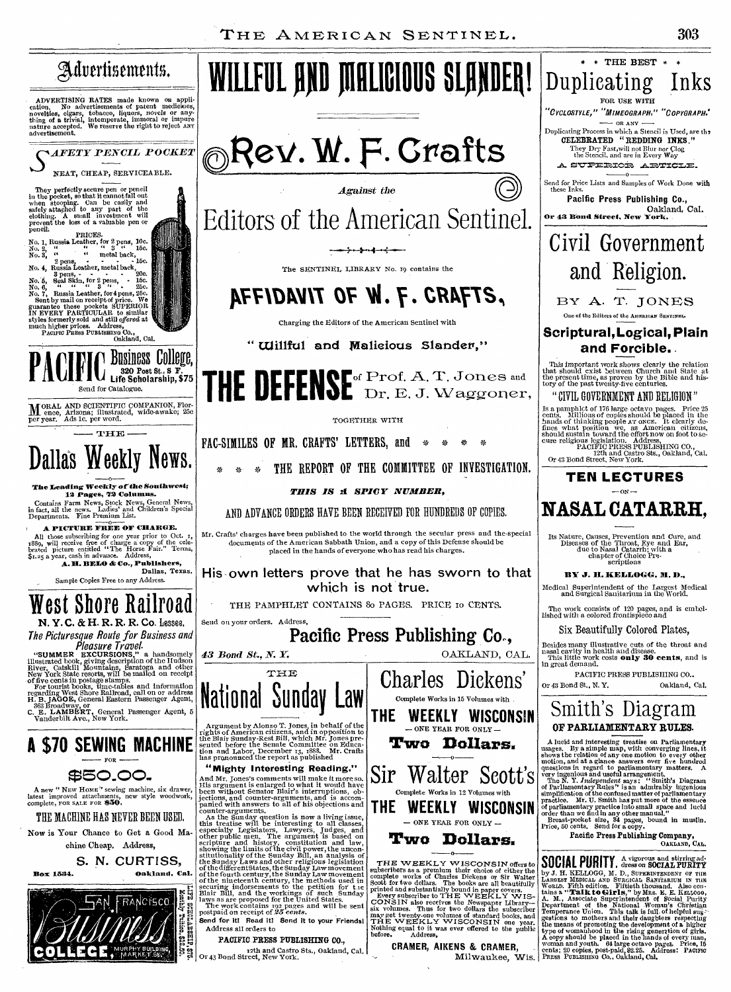Milwaukee, Wis.

**\* \* THE BEST \* \*** 

Duplicating Inks FOR USE **WITH**  "CYCLOSTYLE," "MIMEOGRAPH," "COPYGRAPH." — OR ANY — Duplicating Process in which a Stencil is Used, are the **CELEBRATED "REDDING INKS."**  They Dry Fast,will not Blur nor Clog the Stencil, and are in Every Way **.A.** 

Send for Price Lists and Samples of Work Done with these Inks. **Pacific Press Publishing Co.,**  Oakland, Cal. **Or 43 Rond Street, New York.** 

Civil Government

and Religion.

BY A. T. JONES One of the Editors of the AMERICAN SENTINEL. **Scriptural, Logical, Plain and Forcible.** 

This important work shows clearly the relation that should exist between Church and State at the present time, as proven by the Bible and his-tory of the past twenty-five centuries.

"CIVIL GOVERNMENT AND RELIGION"

Is a pamphlet of 176 large octavo pages. Price 25 cents. Millions of copies should be placed in the change bands of thinking people AT once. It clearly defines what position we, as American eitizens, even eveligious legisl

**TEN LECTURES**   $\alpha v -$ **NASAL CATARRH,** 

Its Nature, Causes, Prevention and Cure, and Diseases of the Throat, Eye and Ear, due to Nasal Catarrh; with a chapter of Choice Pre-scriptions

**BY J. H. KELLOGG, M. D.,** Medical Superintendent of the Largest Medical and Surgical Sanitarium in the World.

The work consists of 120 pages, and is embel-lished with a colored frontispiece and Six Beautifully Colored Plates,

Besides many illustrative cuts of the throat and nasal cavity in health and disease. This little work costs **only 30** cents, and is in great demand. PACIFIC PRESS PUBLISHING CO.. Or 43 Bond St., N. Y. Oakland, Cal.

Smith's Diagram **OF PARLIAMENTARY RULES.** 

A lucid and interesting treatise on Parliamentary<br>masges. By a simple map, with converging lines, it<br>shows the relation of any one motion to every other<br>motion, and at a glance answers over five hundred<br>questions in regar

**SUUTRL FURILL**, areas on SOCIAL PURITY<br>by J. H. KELLOGG, M. D., SUPERINTENDRY or J. H. KELLOGG, M. D., SUPERINTENDENT OF TLANCEST MENDICAL AND SURGICAL SANTIARIUM IN THE WORLD.<br>World. Fifth edition. Fiftheth thousand. Als

Pacific Press Publishing Company,<br>OAKLAND, CAL.

A vigorous and stirring ad-